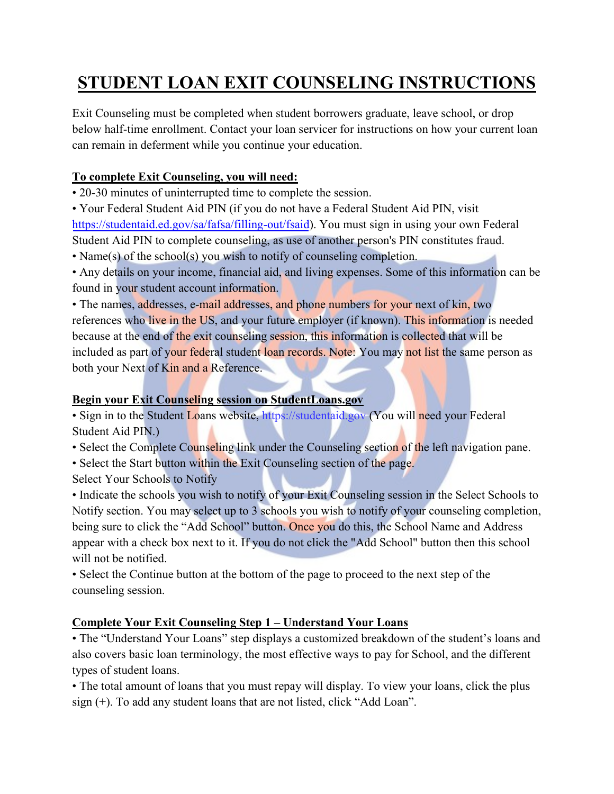# **STUDENT LOAN EXIT COUNSELING INSTRUCTIONS**

Exit Counseling must be completed when student borrowers graduate, leave school, or drop below half-time enrollment. Contact your loan servicer for instructions on how your current loan can remain in deferment while you continue your education.

## **To complete Exit Counseling, you will need:**

• 20-30 minutes of uninterrupted time to complete the session.

• Your Federal Student Aid PIN (if you do not have a Federal Student Aid PIN, visit [https://studentai](http://www.pin.ed.gov/)[d.ed.gov/sa/fafsa/filling-out/fsaid](https://studentaid.ed.gov/sa/fafsa/filling-out/fsaid)). You must sign in using your own Federal Student Aid PIN to complete counseling, as use of another person's PIN constitutes fraud.

• Name(s) of the school(s) you wish to notify of counseling completion.

• Any details on your income, financial aid, and living expenses. Some of this information can be found in your student account information.

• The names, addresses, e-mail addresses, and phone numbers for your next of kin, two references who live in the US, and your future employer (if known). This information is needed because at the end of the exit counseling session, this information is collected that will be included as part of your federal student loan records. Note: You may not list the same person as both your Next of Kin and a Reference.

## **Begin your Exit Counseling session on StudentLoans.gov**

• Sign in to the Student Loans website, https://studentaid.gov (You will need your Federal Student Aid PIN.)

- Select the Complete Counseling link under the Counseling section of the left navigation pane.
- Select the Start button within the Exit Counseling section of the page.
- Select Your Schools to Notify

• Indicate the schools you wish to notify of your Exit Counseling session in the Select Schools to Notify section. You may select up to 3 schools you wish to notify of your counseling completion, being sure to click the "Add School" button. Once you do this, the School Name and Address appear with a check box next to it. If you do not click the "Add School" button then this school will not be notified.

• Select the Continue button at the bottom of the page to proceed to the next step of the counseling session.

## **Complete Your Exit Counseling Step 1 – Understand Your Loans**

• The "Understand Your Loans" step displays a customized breakdown of the student's loans and also covers basic loan terminology, the most effective ways to pay for School, and the different types of student loans.

• The total amount of loans that you must repay will display. To view your loans, click the plus sign (+). To add any student loans that are not listed, click "Add Loan".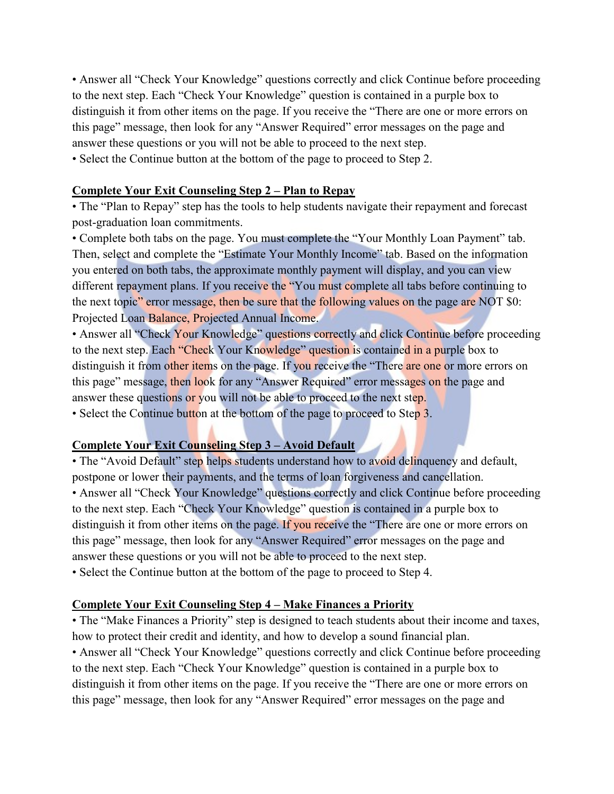• Answer all "Check Your Knowledge" questions correctly and click Continue before proceeding to the next step. Each "Check Your Knowledge" question is contained in a purple box to distinguish it from other items on the page. If you receive the "There are one or more errors on this page" message, then look for any "Answer Required" error messages on the page and answer these questions or you will not be able to proceed to the next step.

• Select the Continue button at the bottom of the page to proceed to Step 2.

#### **Complete Your Exit Counseling Step 2 – Plan to Repay**

• The "Plan to Repay" step has the tools to help students navigate their repayment and forecast post-graduation loan commitments.

• Complete both tabs on the page. You must complete the "Your Monthly Loan Payment" tab. Then, select and complete the "Estimate Your Monthly Income" tab. Based on the information you entered on both tabs, the approximate monthly payment will display, and you can view different repayment plans. If you receive the "You must complete all tabs before continuing to the next topic" error message, then be sure that the following values on the page are NOT \$0: Projected Loan Balance, Projected Annual Income.

• Answer all "Check Your Knowledge" questions correctly and click Continue before proceeding to the next step. Each "Check Your Knowledge" question is contained in a purple box to distinguish it from other items on the page. If you receive the "There are one or more errors on this page" message, then look for any "Answer Required" error messages on the page and answer these questions or you will not be able to proceed to the next step.

• Select the Continue button at the bottom of the page to proceed to Step 3.

#### **Complete Your Exit Counseling Step 3 – Avoid Default**

• The "Avoid Default" step helps students understand how to avoid delinquency and default, postpone or lower their payments, and the terms of loan forgiveness and cancellation. • Answer all "Check Your Knowledge" questions correctly and click Continue before proceeding to the next step. Each "Check Your Knowledge" question is contained in a purple box to distinguish it from other items on the page. If you receive the "There are one or more errors on this page" message, then look for any "Answer Required" error messages on the page and answer these questions or you will not be able to proceed to the next step.

• Select the Continue button at the bottom of the page to proceed to Step 4.

#### **Complete Your Exit Counseling Step 4 – Make Finances a Priority**

• The "Make Finances a Priority" step is designed to teach students about their income and taxes, how to protect their credit and identity, and how to develop a sound financial plan. • Answer all "Check Your Knowledge" questions correctly and click Continue before proceeding to the next step. Each "Check Your Knowledge" question is contained in a purple box to distinguish it from other items on the page. If you receive the "There are one or more errors on this page" message, then look for any "Answer Required" error messages on the page and